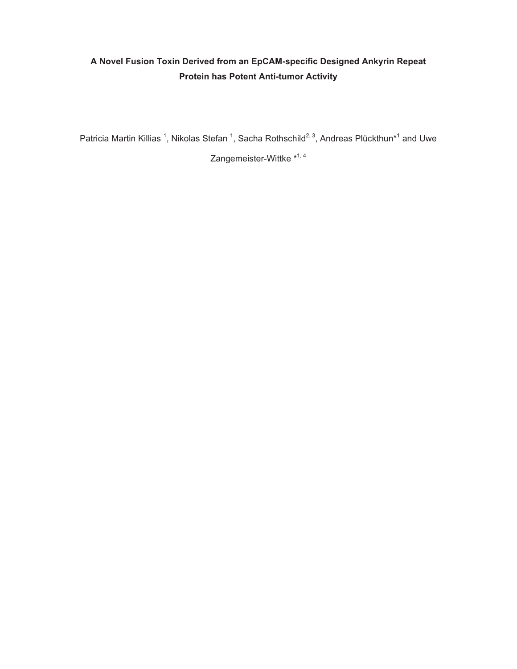## **A Novel Fusion Toxin Derived from an EpCAM-specific Designed Ankyrin Repeat Protein has Potent Anti-tumor Activity**

Patricia Martin Killias <sup>1</sup>, Nikolas Stefan <sup>1</sup>, Sacha Rothschild<sup>2, 3</sup>, Andreas Plückthun\*<sup>1</sup> and Uwe

Zangemeister-Wittke \*<sup>1,4</sup>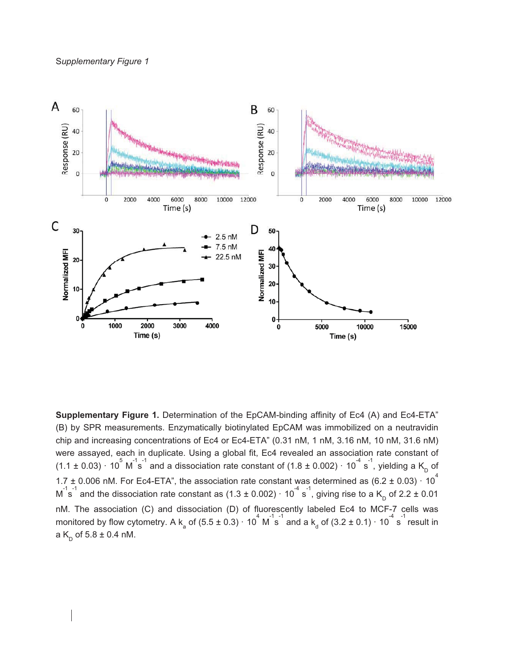

**Supplementary Figure 1.** Determination of the EpCAM-binding affinity of Ec4 (A) and Ec4-ETA" (B) by SPR measurements. Enzymatically biotinylated EpCAM was immobilized on a neutravidin chip and increasing concentrations of Ec4 or Ec4-ETA" (0.31 nM, 1 nM, 3.16 nM, 10 nM, 31.6 nM) were assayed, each in duplicate. Using a global fit, Ec4 revealed an association rate constant of (1.1 ± 0.03)  $\cdot$  10<sup>5</sup> M<sup>-1</sup>s<sup>-1</sup> and a dissociation rate constant of (1.8 ± 0.002)  $\cdot$  10<sup>-4</sup> s<sup>-1</sup>, yielding a K<sub>D</sub> of 1.7 ± 0.006 nM. For Ec4-ETA", the association rate constant was determined as  $(6.2 \pm 0.03) \cdot 10^4$ M  $1s^{-1}$  and the dissociation rate constant as (1.3 ± 0.002)  $\cdot$  10<sup>-4</sup> s<sup>-1</sup>, giving rise to a K<sub>D</sub> of 2.2 ± 0.01 nM. The association (C) and dissociation (D) of fluorescently labeled Ec4 to MCF-7 cells was monitored by flow cytometry. A k<sub>a</sub> of (5.5 ± 0.3)  $\cdot$  10<sup>4</sup> M<sup>-1</sup>s<sup>-1</sup> and a k<sub>d</sub> of (3.2 ± 0.1)  $\cdot$  10<sup>-4</sup> s<sup>-1</sup> result in a  $K_p$  of 5.8  $\pm$  0.4 nM.